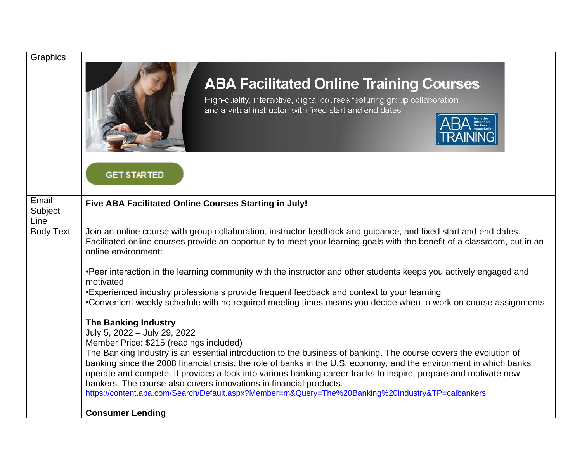| Graphics                 | <b>ABA Facilitated Online Training Courses</b><br>High-quality, interactive, digital courses featuring group collaboration<br>and a virtual instructor, with fixed start and end dates.<br><b>GET STARTED</b>                                                                                                                                                                                                                   |
|--------------------------|---------------------------------------------------------------------------------------------------------------------------------------------------------------------------------------------------------------------------------------------------------------------------------------------------------------------------------------------------------------------------------------------------------------------------------|
| Email<br>Subject<br>Line | Five ABA Facilitated Online Courses Starting in July!                                                                                                                                                                                                                                                                                                                                                                           |
| <b>Body Text</b>         | Join an online course with group collaboration, instructor feedback and guidance, and fixed start and end dates.<br>Facilitated online courses provide an opportunity to meet your learning goals with the benefit of a classroom, but in an<br>online environment:                                                                                                                                                             |
|                          | •Peer interaction in the learning community with the instructor and other students keeps you actively engaged and<br>motivated<br>•Experienced industry professionals provide frequent feedback and context to your learning                                                                                                                                                                                                    |
|                          | •Convenient weekly schedule with no required meeting times means you decide when to work on course assignments                                                                                                                                                                                                                                                                                                                  |
|                          | <b>The Banking Industry</b><br>July 5, 2022 - July 29, 2022<br>Member Price: \$215 (readings included)                                                                                                                                                                                                                                                                                                                          |
|                          | The Banking Industry is an essential introduction to the business of banking. The course covers the evolution of<br>banking since the 2008 financial crisis, the role of banks in the U.S. economy, and the environment in which banks<br>operate and compete. It provides a look into various banking career tracks to inspire, prepare and motivate new<br>bankers. The course also covers innovations in financial products. |
|                          | https://content.aba.com/Search/Default.aspx?Member=m&Query=The%20Banking%20Industry&TP=calbankers                                                                                                                                                                                                                                                                                                                               |
|                          | <b>Consumer Lending</b>                                                                                                                                                                                                                                                                                                                                                                                                         |